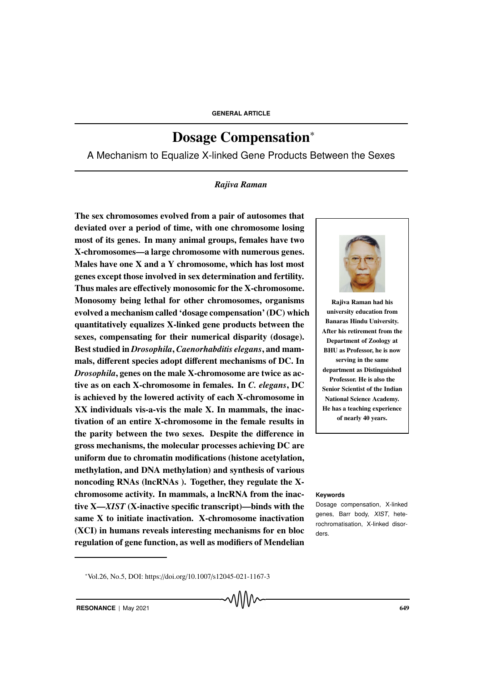# Dosage Compensation<sup>∗</sup>

A Mechanism to Equalize X-linked Gene Products Between the Sexes

# *Rajiva Raman*

The sex chromosomes evolved from a pair of autosomes that deviated over a period of time, with one chromosome losing most of its genes. In many animal groups, females have two X-chromosomes—a large chromosome with numerous genes. Males have one X and a Y chromosome, which has lost most genes except those involved in sex determination and fertility. Thus males are effectively monosomic for the X-chromosome. Monosomy being lethal for other chromosomes, organisms evolved a mechanism called 'dosage compensation' (DC) which quantitatively equalizes X-linked gene products between the sexes, compensating for their numerical disparity (dosage). Best studied in *Drosophila*, *Caenorhabditis elegans*, and mammals, different species adopt different mechanisms of DC. In *Drosophila*, genes on the male X-chromosome are twice as active as on each X-chromosome in females. In *C. elegans*, DC is achieved by the lowered activity of each X-chromosome in XX individuals vis-a-vis the male X. In mammals, the inactivation of an entire X-chromosome in the female results in the parity between the two sexes. Despite the difference in gross mechanisms, the molecular processes achieving DC are uniform due to chromatin modifications (histone acetylation, methylation, and DNA methylation) and synthesis of various noncoding RNAs (lncRNAs ). Together, they regulate the Xchromosome activity. In mammals, a lncRNA from the inac- **Keywords** tive X—*XIST* (X-inactive specific transcript)—binds with the same X to initiate inactivation. X-chromosome inactivation (XCI) in humans reveals interesting mechanisms for en bloc regulation of gene function, as well as modifiers of Mendelian



Rajiva Raman had his university education from Banaras Hindu University. After his retirement from the Department of Zoology at BHU as Professor, he is now serving in the same department as Distinguished Professor. He is also the Senior Scientist of the Indian National Science Academy. He has a teaching experience of nearly 40 years.

Dosage compensation, X-linked genes, Barr body, XIST, heterochromatisation, X-linked disorders.

<sup>∗</sup>Vol.26, No.5, DOI: https://doi.org/10.1007/s12045-021-1167-3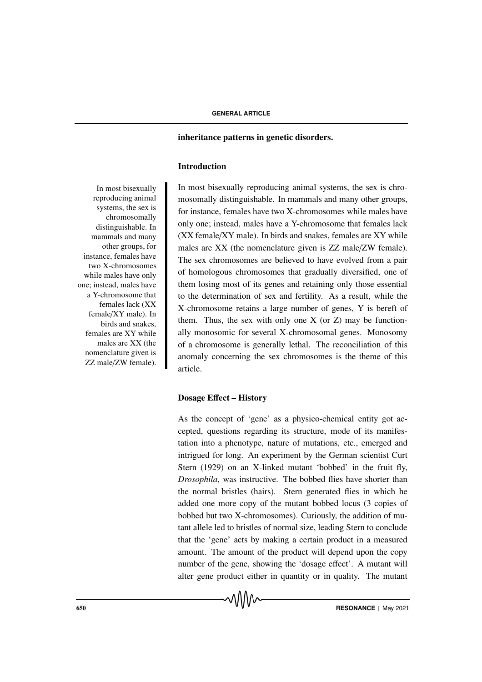# inheritance patterns in genetic disorders.

# Introduction

In most bisexually reproducing animal systems, the sex is chromosomally distinguishable. In mammals and many other groups, for instance, females have two X-chromosomes while males have only one; instead, males have a Y-chromosome that females lack (XX female/XY male). In birds and snakes, females are XY while males are XX (the nomenclature given is ZZ male/ZW female). most bisexually reproducing animal systems, the sex is chromosomally distinguishable. In mammals and many other groups, for instance, females have two X-chromosomes while males have only one; instead, males have a Y-chromosome that females lack (XX female/XY male). In birds and snakes, females are XY while males are XX (the nomenclature given is ZZ male/ZW female). The sex chromosomes are believed to have evolved from a pair of homologous chromosomes that gradually diversified, one of them losing most of its genes and retaining only those essential to the determination of sex and fertility. As a result, while the X-chromosome retains a large number of genes, Y is bereft of them. Thus, the sex with only one  $X$  (or  $Z$ ) may be functionally monosomic for several X-chromosomal genes. Monosomy of a chromosome is generally lethal. The reconciliation of this anomaly concerning the sex chromosomes is the theme of this article.

# Dosage Effect – History

As the concept of 'gene' as a physico-chemical entity got accepted, questions regarding its structure, mode of its manifestation into a phenotype, nature of mutations, etc., emerged and intrigued for long. An experiment by the German scientist Curt Stern (1929) on an X-linked mutant 'bobbed' in the fruit fly, *Drosophila*, was instructive. The bobbed flies have shorter than the normal bristles (hairs). Stern generated flies in which he added one more copy of the mutant bobbed locus (3 copies of bobbed but two X-chromosomes). Curiously, the addition of mutant allele led to bristles of normal size, leading Stern to conclude that the 'gene' acts by making a certain product in a measured amount. The amount of the product will depend upon the copy number of the gene, showing the 'dosage effect'. A mutant will alter gene product either in quantity or in quality. The mutant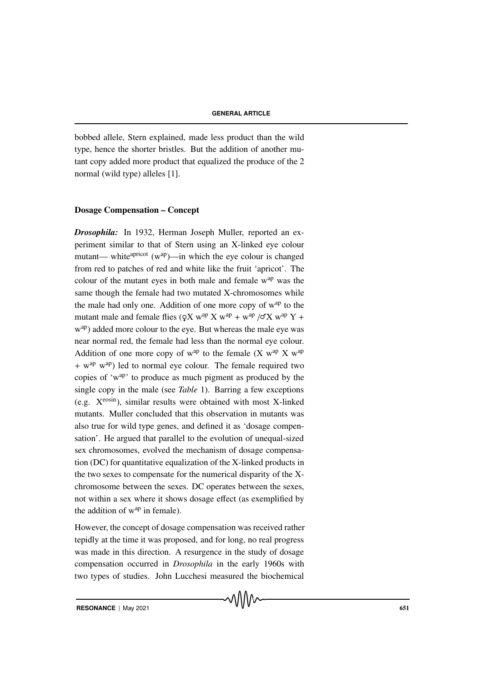bobbed allele, Stern explained, made less product than the wild type, hence the shorter bristles. But the addition of another mutant copy added more product that equalized the produce of the 2 normal (wild type) alleles [1].

# Dosage Compensation – Concept

*Drosophila:* In 1932, Herman Joseph Muller, reported an experiment similar to that of Stern using an X-linked eye colour mutant— white<sup>apricot</sup> ( $w^{ap}$ )—in which the eye colour is changed from red to patches of red and white like the fruit 'apricot'. The colour of the mutant eyes in both male and female  $w^{ap}$  was the same though the female had two mutated X-chromosomes while the male had only one. Addition of one more copy of  $w^{ap}$  to the mutant male and female flies ( $QX$  w<sup>ap</sup> X w<sup>ap</sup> + w<sup>ap</sup> / $\sigma X$  w<sup>ap</sup> Y + w<sup>ap</sup>) added more colour to the eye. But whereas the male eye was near normal red, the female had less than the normal eye colour. Addition of one more copy of  $w^{ap}$  to the female  $(X w^{ap} X w^{ap})$ + w<sup>ap</sup> w<sup>ap</sup>) led to normal eye colour. The female required two copies of 'wap' to produce as much pigment as produced by the single copy in the male (see *Table* 1). Barring a few exceptions (e.g.  $X^{\text{eosin}}$ ), similar results were obtained with most X-linked mutants. Muller concluded that this observation in mutants was also true for wild type genes, and defined it as 'dosage compensation'. He argued that parallel to the evolution of unequal-sized sex chromosomes, evolved the mechanism of dosage compensation (DC) for quantitative equalization of the X-linked products in the two sexes to compensate for the numerical disparity of the Xchromosome between the sexes. DC operates between the sexes, not within a sex where it shows dosage effect (as exemplified by the addition of  $w^{ap}$  in female).

However, the concept of dosage compensation was received rather tepidly at the time it was proposed, and for long, no real progress was made in this direction. A resurgence in the study of dosage compensation occurred in *Drosophila* in the early 1960s with two types of studies. John Lucchesi measured the biochemical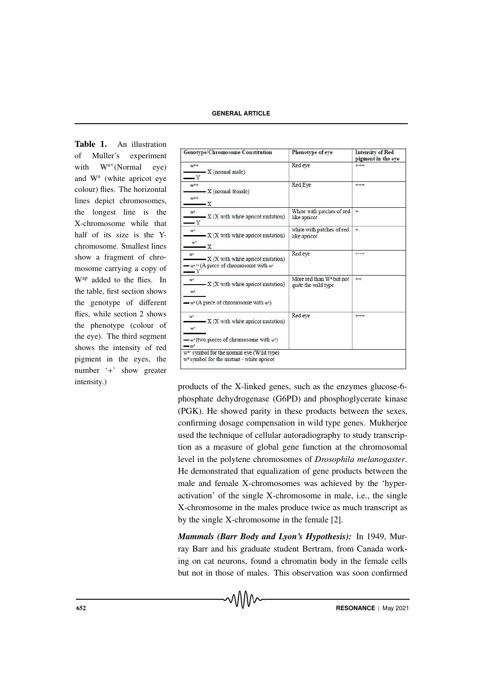Table 1. An illustration of Muller's experiment with  $W^{a+}$ (Normal eye) and W<sup>a</sup> (white apricot eye colour) flies. The horizontal lines depict chromosomes, the longest line is the X-chromosome while that half of its size is the Ychromosome. Smallest lines show a fragment of chromosome carrying a copy of Wap added to the flies. In the table, first section shows the genotype of different flies, while section 2 shows the phenotype (colour of the eye). The third segment shows the intensity of red pigment in the eyes, the number '+' show greater

| <b>Genotype/Chromosome Constitution</b>                                                                                                                 | Phenotype of eve                                | <b>Intensity of Red</b><br>pigment in the eye |
|---------------------------------------------------------------------------------------------------------------------------------------------------------|-------------------------------------------------|-----------------------------------------------|
| $w^a+$<br>- X (normal male)<br>— Ү                                                                                                                      | Red eve                                         | $++$                                          |
| $w^a$ +<br>$\overline{X}$ (normal female)<br>$W^0+$<br>-х                                                                                               | Red Eve                                         | $^{++}$                                       |
| w <sup>a</sup><br>$\mathbf{X}$ (X with white apricot mutation)<br>$-$ Y                                                                                 | White with patches of red<br>like apricot       | $+$                                           |
| W <sup>a</sup><br>$\mathbf{X}$ (X with white apricot mutation)<br>$W^k$<br>-х                                                                           | white with patches of red<br>like apricot       | $+$                                           |
| $w^{\alpha}$<br>$\rightarrow$ X (X with white apricot mutation)<br>$\rightarrow$ w <sup>a(A</sup> (A piece of chromosome with w <sup>a</sup> )<br>$-$ Y | Red eye                                         | $^{++}$                                       |
| wa<br>$-X(X$ with white apricot mutation)<br>w*                                                                                                         | More red than Wa but not<br>quite the wild type | $^{++}$                                       |
| $\mathbf{w}^n(A)$ piece of chromosome with $w^n$ )                                                                                                      |                                                 |                                               |
| $w^{\hat{a}}$<br>$\mathbf{X}$ (X with white apricot mutation)<br>W <sup>a</sup>                                                                         | Red eve                                         | $^{++}$                                       |
| $-w^*($ two pieces of chromosome with $w^*$ )<br>$\rightarrow w^*$                                                                                      |                                                 |                                               |
| w <sup>a+</sup> symbol for the normal eye (Wild type)<br>w <sup>a</sup> symbol for the mutant - white apricot                                           |                                                 |                                               |

intensity.) products of the X-linked genes, such as the enzymes glucose-6 phosphate dehydrogenase (G6PD) and phosphoglycerate kinase (PGK). He showed parity in these products between the sexes, confirming dosage compensation in wild type genes. Mukherjee used the technique of cellular autoradiography to study transcription as a measure of global gene function at the chromosomal level in the polytene chromosomes of *Drosophila melanogaster*. He demonstrated that equalization of gene products between the male and female X-chromosomes was achieved by the 'hyperactivation' of the single X-chromosome in male, i.e., the single X-chromosome in the males produce twice as much transcript as by the single X-chromosome in the female [2].

> *Mammals (Barr Body and Lyon's Hypothesis):* In 1949, Murray Barr and his graduate student Bertram, from Canada working on cat neurons, found a chromatin body in the female cells but not in those of males. This observation was soon confirmed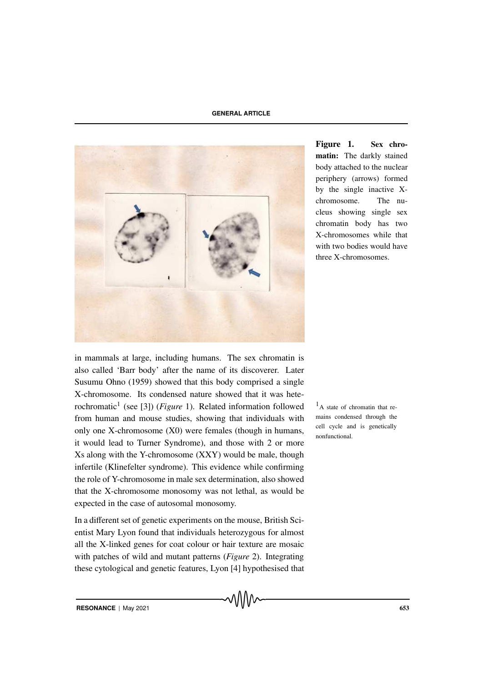

Figure 1. Sex chromatin: The darkly stained body attached to the nuclear periphery (arrows) formed by the single inactive Xchromosome. The nucleus showing single sex chromatin body has two X-chromosomes while that with two bodies would have three X-chromosomes.

in mammals at large, including humans. The sex chromatin is also called 'Barr body' after the name of its discoverer. Later Susumu Ohno (1959) showed that this body comprised a single X-chromosome. Its condensed nature showed that it was heterochromatic<sup>1</sup> (see [3]) (*Figure* 1). Related information followed  $\frac{1}{4}$  a state of chromatin that refrom human and mouse studies, showing that individuals with only one X-chromosome (X0) were females (though in humans, it would lead to Turner Syndrome), and those with 2 or more Xs along with the Y-chromosome (XXY) would be male, though infertile (Klinefelter syndrome). This evidence while confirming the role of Y-chromosome in male sex determination, also showed that the X-chromosome monosomy was not lethal, as would be expected in the case of autosomal monosomy.

In a different set of genetic experiments on the mouse, British Scientist Mary Lyon found that individuals heterozygous for almost all the X-linked genes for coat colour or hair texture are mosaic with patches of wild and mutant patterns (*Figure* 2). Integrating these cytological and genetic features, Lyon [4] hypothesised that mains condensed through the cell cycle and is genetically nonfunctional.

**RESONANCE** | May 2021 653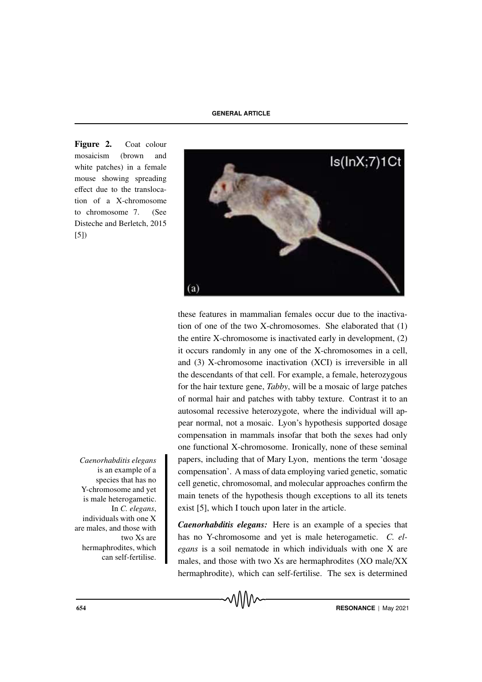Figure 2. Coat colour mosaicism (brown and white patches) in a female mouse showing spreading effect due to the translocation of a X-chromosome to chromosome 7. (See Disteche and Berletch, 2015 [5])



these features in mammalian females occur due to the inactivation of one of the two X-chromosomes. She elaborated that (1) the entire X-chromosome is inactivated early in development, (2) it occurs randomly in any one of the X-chromosomes in a cell, and (3) X-chromosome inactivation (XCI) is irreversible in all the descendants of that cell. For example, a female, heterozygous for the hair texture gene, *Tabby*, will be a mosaic of large patches of normal hair and patches with tabby texture. Contrast it to an autosomal recessive heterozygote, where the individual will appear normal, not a mosaic. Lyon's hypothesis supported dosage compensation in mammals insofar that both the sexes had only one functional X-chromosome. Ironically, none of these seminal *Caenorhabditis elegans* papers, including that of Mary Lyon, mentions the term 'dosage compensation'. A mass of data employing varied genetic, somatic cell genetic, chromosomal, and molecular approaches confirm the main tenets of the hypothesis though exceptions to all its tenets exist [5], which I touch upon later in the article.

> *Caenorhabditis elegans:* Here is an example of a species that has no Y-chromosome and yet is male heterogametic. *C. elegans* is a soil nematode in which individuals with one X are males, and those with two Xs are hermaphrodites (XO male/XX hermaphrodite), which can self-fertilise. The sex is determined

is an example of a species that has no Y-chromosome and yet is male heterogametic. In *C. elegans*, individuals with one X are males, and those with two Xs are hermaphrodites, which can self-fertilise.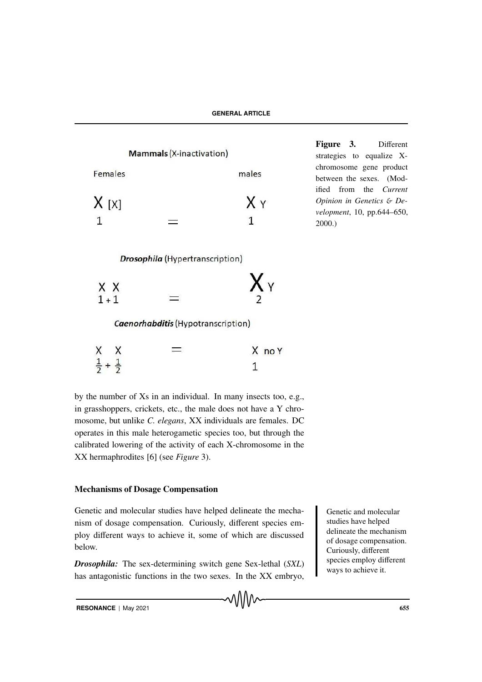

Figure 3. Different strategies to equalize Xchromosome gene product between the sexes. (Modified from the *Current Opinion in Genetics* & *Development*, 10, pp.644–650, 2000.)

**Drosophila** (Hypertranscription)

| X X     | Хy |
|---------|----|
| $1 + 1$ |    |

Caenorhabditis (Hypotranscription)

| X |                             | X no Y |
|---|-----------------------------|--------|
|   | $\frac{1}{2} + \frac{1}{2}$ |        |

by the number of Xs in an individual. In many insects too, e.g., in grasshoppers, crickets, etc., the male does not have a Y chromosome, but unlike *C. elegans*, XX individuals are females. DC operates in this male heterogametic species too, but through the calibrated lowering of the activity of each X-chromosome in the XX hermaphrodites [6] (see *Figure* 3).

# Mechanisms of Dosage Compensation

Genetic and molecular studies have helped delineate the mecha- Genetic and molecular nism of dosage compensation. Curiously, different species employ different ways to achieve it, some of which are discussed below.

*Drosophila:* The sex-determining switch gene Sex-lethal (*SXL*) has antagonistic functions in the two sexes. In the XX embryo,

MM

studies have helped delineate the mechanism of dosage compensation. Curiously, different species employ different ways to achieve it.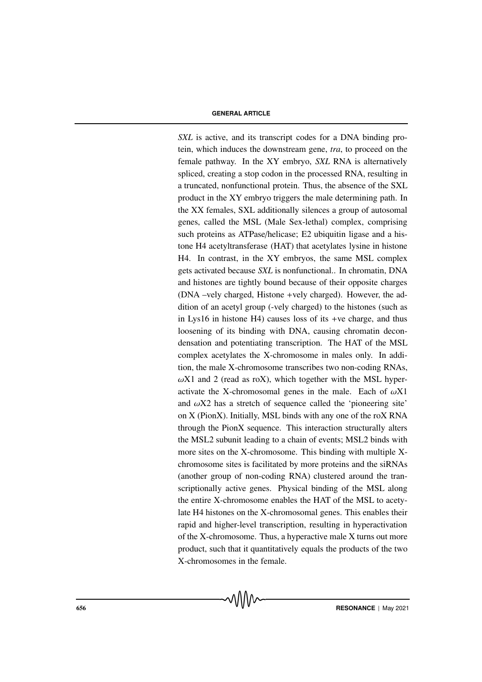*SXL* is active, and its transcript codes for a DNA binding protein, which induces the downstream gene, *tra*, to proceed on the female pathway. In the XY embryo, *SXL* RNA is alternatively spliced, creating a stop codon in the processed RNA, resulting in a truncated, nonfunctional protein. Thus, the absence of the SXL product in the XY embryo triggers the male determining path. In the XX females, SXL additionally silences a group of autosomal genes, called the MSL (Male Sex-lethal) complex, comprising such proteins as ATPase/helicase; E2 ubiquitin ligase and a histone H4 acetyltransferase (HAT) that acetylates lysine in histone H4. In contrast, in the XY embryos, the same MSL complex gets activated because *SXL* is nonfunctional.. In chromatin, DNA and histones are tightly bound because of their opposite charges (DNA –vely charged, Histone +vely charged). However, the addition of an acetyl group (-vely charged) to the histones (such as in Lys16 in histone H4) causes loss of its +ve charge, and thus loosening of its binding with DNA, causing chromatin decondensation and potentiating transcription. The HAT of the MSL complex acetylates the X-chromosome in males only. In addition, the male X-chromosome transcribes two non-coding RNAs,  $\omega$ X1 and 2 (read as roX), which together with the MSL hyperactivate the X-chromosomal genes in the male. Each of  $\omega X1$ and  $\omega X2$  has a stretch of sequence called the 'pioneering site' on X (PionX). Initially, MSL binds with any one of the roX RNA through the PionX sequence. This interaction structurally alters the MSL2 subunit leading to a chain of events; MSL2 binds with more sites on the X-chromosome. This binding with multiple Xchromosome sites is facilitated by more proteins and the siRNAs (another group of non-coding RNA) clustered around the transcriptionally active genes. Physical binding of the MSL along the entire X-chromosome enables the HAT of the MSL to acetylate H4 histones on the X-chromosomal genes. This enables their rapid and higher-level transcription, resulting in hyperactivation of the X-chromosome. Thus, a hyperactive male X turns out more product, such that it quantitatively equals the products of the two X-chromosomes in the female.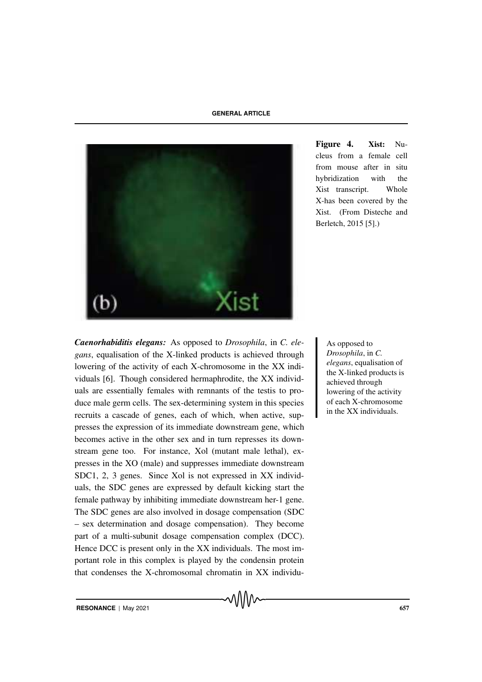

Figure 4. Xist: Nucleus from a female cell from mouse after in situ hybridization with the Xist transcript. Whole X-has been covered by the Xist. (From Disteche and Berletch, 2015 [5].)

**Caenorhabiditis elegans:** As opposed to *Drosophila*, in C. ele-<br>
As opposed to *gans*, equalisation of the X-linked products is achieved through lowering of the activity of each X-chromosome in the XX individuals [6]. Though considered hermaphrodite, the XX individuals are essentially females with remnants of the testis to produce male germ cells. The sex-determining system in this species recruits a cascade of genes, each of which, when active, suppresses the expression of its immediate downstream gene, which becomes active in the other sex and in turn represses its downstream gene too. For instance, Xol (mutant male lethal), expresses in the XO (male) and suppresses immediate downstream SDC1, 2, 3 genes. Since Xol is not expressed in XX individuals, the SDC genes are expressed by default kicking start the female pathway by inhibiting immediate downstream her-1 gene. The SDC genes are also involved in dosage compensation (SDC – sex determination and dosage compensation). They become part of a multi-subunit dosage compensation complex (DCC). Hence DCC is present only in the XX individuals. The most important role in this complex is played by the condensin protein that condenses the X-chromosomal chromatin in XX individu-

*Drosophila*, in *C. elegans*, equalisation of the X-linked products is achieved through lowering of the activity of each X-chromosome in the XX individuals.

**RESONANCE** | May 2021 **657**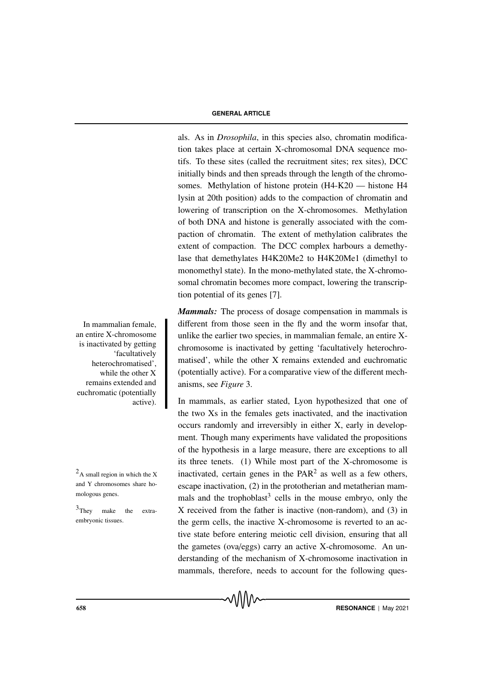als. As in *Drosophila*, in this species also, chromatin modification takes place at certain X-chromosomal DNA sequence motifs. To these sites (called the recruitment sites; rex sites), DCC initially binds and then spreads through the length of the chromosomes. Methylation of histone protein (H4-K20 — histone H4 lysin at 20th position) adds to the compaction of chromatin and lowering of transcription on the X-chromosomes. Methylation of both DNA and histone is generally associated with the compaction of chromatin. The extent of methylation calibrates the extent of compaction. The DCC complex harbours a demethylase that demethylates H4K20Me2 to H4K20Me1 (dimethyl to monomethyl state). In the mono-methylated state, the X-chromosomal chromatin becomes more compact, lowering the transcription potential of its genes [7].

*Mammals:* The process of dosage compensation in mammals is In mammalian female, different from those seen in the fly and the worm insofar that, unlike the earlier two species, in mammalian female, an entire Xchromosome is inactivated by getting 'facultatively heterochromatised', while the other X remains extended and euchromatic (potentially active). For a comparative view of the different mechanisms, see *Figure* 3.

In mammals, as earlier stated, Lyon hypothesized that one of the two Xs in the females gets inactivated, and the inactivation occurs randomly and irreversibly in either X, early in development. Though many experiments have validated the propositions of the hypothesis in a large measure, there are exceptions to all its three tenets. (1) While most part of the X-chromosome is  $^{2}$ A small region in which the X inactivated, certain genes in the PAR<sup>2</sup> as well as a few others, escape inactivation, (2) in the prototherian and metatherian mammals and the trophoblast<sup>3</sup> cells in the mouse embryo, only the  $3$ They make the extra- X received from the father is inactive (non-random), and (3) in the germ cells, the inactive X-chromosome is reverted to an active state before entering meiotic cell division, ensuring that all the gametes (ova/eggs) carry an active X-chromosome. An understanding of the mechanism of X-chromosome inactivation in mammals, therefore, needs to account for the following ques-

an entire X-chromosome is inactivated by getting 'facultatively heterochromatised', while the other X remains extended and euchromatic (potentially active).

and Y chromosomes share homologous genes.

<sup>3</sup>They make the extraembryonic tissues.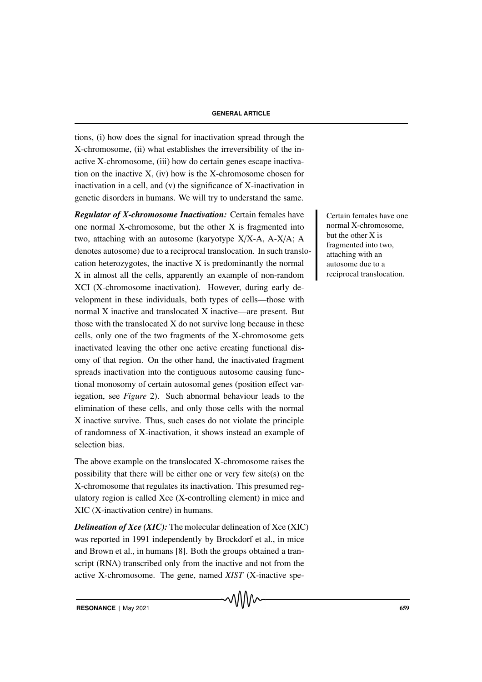tions, (i) how does the signal for inactivation spread through the X-chromosome, (ii) what establishes the irreversibility of the inactive X-chromosome, (iii) how do certain genes escape inactivation on the inactive X, (iv) how is the X-chromosome chosen for inactivation in a cell, and (v) the significance of X-inactivation in genetic disorders in humans. We will try to understand the same.

**Regulator of X-chromosome Inactivation:** Certain females have certain females have one one normal X-chromosome, but the other X is fragmented into two, attaching with an autosome (karyotype X/X-A, A-X/A; A denotes autosome) due to a reciprocal translocation. In such translocation heterozygotes, the inactive X is predominantly the normal X in almost all the cells, apparently an example of non-random XCI (X-chromosome inactivation). However, during early development in these individuals, both types of cells—those with normal X inactive and translocated X inactive—are present. But those with the translocated X do not survive long because in these cells, only one of the two fragments of the X-chromosome gets inactivated leaving the other one active creating functional disomy of that region. On the other hand, the inactivated fragment spreads inactivation into the contiguous autosome causing functional monosomy of certain autosomal genes (position effect variegation, see *Figure* 2). Such abnormal behaviour leads to the elimination of these cells, and only those cells with the normal X inactive survive. Thus, such cases do not violate the principle of randomness of X-inactivation, it shows instead an example of selection bias.

The above example on the translocated X-chromosome raises the possibility that there will be either one or very few site(s) on the X-chromosome that regulates its inactivation. This presumed regulatory region is called Xce (X-controlling element) in mice and XIC (X-inactivation centre) in humans.

**Delineation of Xce (XIC):** The molecular delineation of Xce (XIC) was reported in 1991 independently by Brockdorf et al., in mice and Brown et al., in humans [8]. Both the groups obtained a transcript (RNA) transcribed only from the inactive and not from the active X-chromosome. The gene, named *XIST* (X-inactive spenormal X-chromosome, but the other X is fragmented into two, attaching with an autosome due to a reciprocal translocation.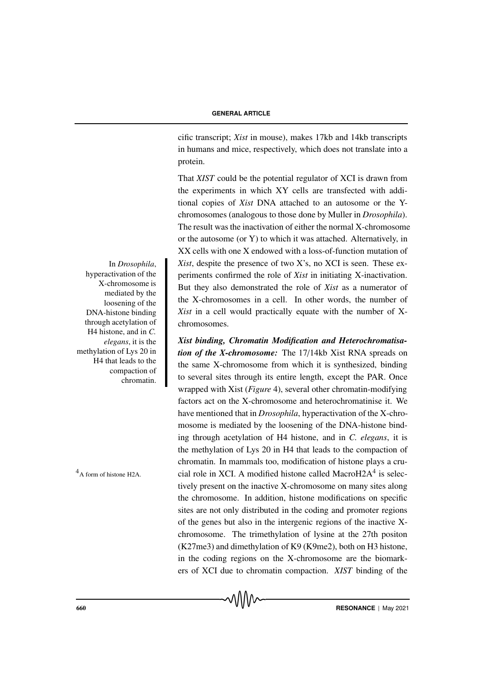cific transcript; *Xist* in mouse), makes 17kb and 14kb transcripts in humans and mice, respectively, which does not translate into a protein.

That *XIST* could be the potential regulator of XCI is drawn from the experiments in which XY cells are transfected with additional copies of *Xist* DNA attached to an autosome or the Ychromosomes (analogous to those done by Muller in *Drosophila*). The result was the inactivation of either the normal X-chromosome or the autosome (or Y) to which it was attached. Alternatively, in XX cells with one X endowed with a loss-of-function mutation of In *Drosophila*, Xist, despite the presence of two X's, no XCI is seen. These experiments confirmed the role of *Xist* in initiating X-inactivation. But they also demonstrated the role of *Xist* as a numerator of the X-chromosomes in a cell. In other words, the number of *Xist* in a cell would practically equate with the number of Xchromosomes.

*Xist binding, Chromatin Modification and Heterochromatisation of the X-chromosome:* The 17/14kb Xist RNA spreads on the same X-chromosome from which it is synthesized, binding to several sites through its entire length, except the PAR. Once wrapped with Xist (*Figure* 4), several other chromatin-modifying factors act on the X-chromosome and heterochromatinise it. We have mentioned that in *Drosophila*, hyperactivation of the X-chromosome is mediated by the loosening of the DNA-histone binding through acetylation of H4 histone, and in *C. elegans*, it is the methylation of Lys 20 in H4 that leads to the compaction of chromatin. In mammals too, modification of histone plays a cru- $A_{\text{A form of histone H2A}}$  cial role in XCI. A modified histone called MacroH2A $4$  is selectively present on the inactive X-chromosome on many sites along the chromosome. In addition, histone modifications on specific sites are not only distributed in the coding and promoter regions of the genes but also in the intergenic regions of the inactive Xchromosome. The trimethylation of lysine at the 27th positon (K27me3) and dimethylation of K9 (K9me2), both on H3 histone, in the coding regions on the X-chromosome are the biomarkers of XCI due to chromatin compaction. *XIST* binding of the

MAN

hyperactivation of the X-chromosome is mediated by the loosening of the DNA-histone binding through acetylation of H4 histone, and in *C. elegans*, it is the methylation of Lys 20 in H4 that leads to the compaction of chromatin.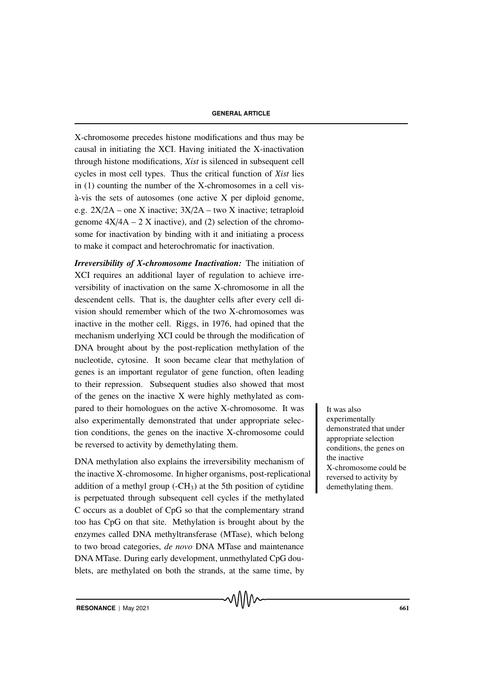X-chromosome precedes histone modifications and thus may be causal in initiating the XCI. Having initiated the X-inactivation through histone modifications, *Xist* is silenced in subsequent cell cycles in most cell types. Thus the critical function of *Xist* lies in (1) counting the number of the X-chromosomes in a cell vis-  $\lambda$ -vis the sets of autosomes (one active X per diploid genome, e.g. 2X/2A – one X inactive; 3X/2A – two X inactive; tetraploid genome  $4X/4A - 2X$  inactive), and (2) selection of the chromosome for inactivation by binding with it and initiating a process to make it compact and heterochromatic for inactivation.

*Irreversibility of X-chromosome Inactivation:* The initiation of XCI requires an additional layer of regulation to achieve irreversibility of inactivation on the same X-chromosome in all the descendent cells. That is, the daughter cells after every cell division should remember which of the two X-chromosomes was inactive in the mother cell. Riggs, in 1976, had opined that the mechanism underlying XCI could be through the modification of DNA brought about by the post-replication methylation of the nucleotide, cytosine. It soon became clear that methylation of genes is an important regulator of gene function, often leading to their repression. Subsequent studies also showed that most of the genes on the inactive X were highly methylated as compared to their homologues on the active X-chromosome. It was lives also also experimentally demonstrated that under appropriate selection conditions, the genes on the inactive X-chromosome could be reversed to activity by demethylating them.

DNA methylation also explains the irreversibility mechanism of the inactive X-chromosome. In higher organisms, post-replicational addition of a methyl group  $(-CH_3)$  at the 5th position of cytidine is perpetuated through subsequent cell cycles if the methylated C occurs as a doublet of CpG so that the complementary strand too has CpG on that site. Methylation is brought about by the enzymes called DNA methyltransferase (MTase), which belong to two broad categories, *de novo* DNA MTase and maintenance DNA MTase. During early development, unmethylated CpG doublets, are methylated on both the strands, at the same time, by

√∖∖∖∧∼

experimentally demonstrated that under appropriate selection conditions, the genes on the inactive X-chromosome could be reversed to activity by demethylating them.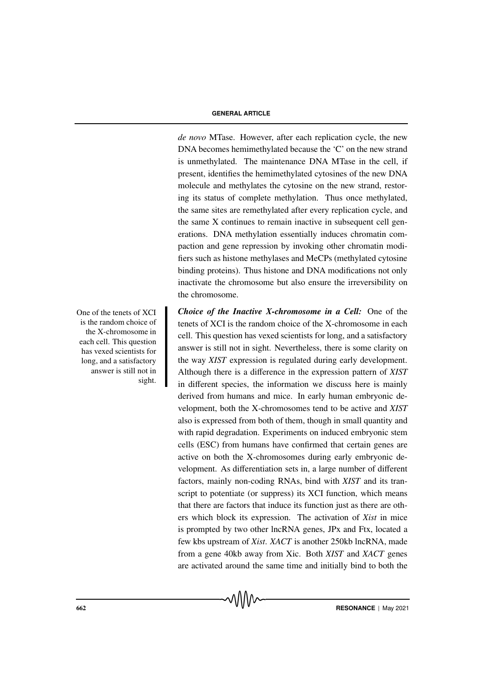*de novo* MTase. However, after each replication cycle, the new DNA becomes hemimethylated because the 'C' on the new strand is unmethylated. The maintenance DNA MTase in the cell, if present, identifies the hemimethylated cytosines of the new DNA molecule and methylates the cytosine on the new strand, restoring its status of complete methylation. Thus once methylated, the same sites are remethylated after every replication cycle, and the same X continues to remain inactive in subsequent cell generations. DNA methylation essentially induces chromatin compaction and gene repression by invoking other chromatin modifiers such as histone methylases and MeCPs (methylated cytosine binding proteins). Thus histone and DNA modifications not only inactivate the chromosome but also ensure the irreversibility on the chromosome.

One of the tenets of XCI *Choice of the Inactive X-chromosome in a Cell:* One of the tenets of XCI is the random choice of the X-chromosome in each cell. This question has vexed scientists for long, and a satisfactory answer is still not in sight. Nevertheless, there is some clarity on the way *XIST* expression is regulated during early development. Although there is a difference in the expression pattern of *XIST* in different species, the information we discuss here is mainly derived from humans and mice. In early human embryonic development, both the X-chromosomes tend to be active and *XIST* also is expressed from both of them, though in small quantity and with rapid degradation. Experiments on induced embryonic stem cells (ESC) from humans have confirmed that certain genes are active on both the X-chromosomes during early embryonic development. As differentiation sets in, a large number of different factors, mainly non-coding RNAs, bind with *XIST* and its transcript to potentiate (or suppress) its XCI function, which means that there are factors that induce its function just as there are others which block its expression. The activation of *Xist* in mice is prompted by two other lncRNA genes, JPx and Ftx, located a few kbs upstream of *Xist*. *XACT* is another 250kb lncRNA, made from a gene 40kb away from Xic. Both *XIST* and *XACT* genes are activated around the same time and initially bind to both the

√∖∖∖∧∼

is the random choice of the X-chromosome in each cell. This question has vexed scientists for long, and a satisfactory answer is still not in sight.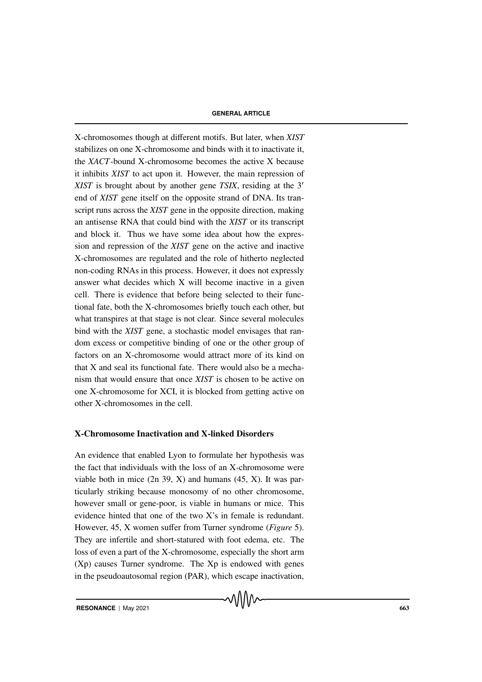X-chromosomes though at different motifs. But later, when *XIST* stabilizes on one X-chromosome and binds with it to inactivate it, the *XACT*-bound X-chromosome becomes the active X because it inhibits *XIST* to act upon it. However, the main repression of *XIST* is brought about by another gene *TSIX*, residing at the 3′ end of *XIST* gene itself on the opposite strand of DNA. Its transcript runs across the *XIST* gene in the opposite direction, making an antisense RNA that could bind with the *XIST* or its transcript and block it. Thus we have some idea about how the expression and repression of the *XIST* gene on the active and inactive X-chromosomes are regulated and the role of hitherto neglected non-coding RNAs in this process. However, it does not expressly answer what decides which X will become inactive in a given cell. There is evidence that before being selected to their functional fate, both the X-chromosomes briefly touch each other, but what transpires at that stage is not clear. Since several molecules bind with the *XIST* gene, a stochastic model envisages that random excess or competitive binding of one or the other group of factors on an X-chromosome would attract more of its kind on that X and seal its functional fate. There would also be a mechanism that would ensure that once *XIST* is chosen to be active on one X-chromosome for XCI, it is blocked from getting active on other X-chromosomes in the cell.

# X-Chromosome Inactivation and X-linked Disorders

An evidence that enabled Lyon to formulate her hypothesis was the fact that individuals with the loss of an X-chromosome were viable both in mice  $(2n 39, X)$  and humans  $(45, X)$ . It was particularly striking because monosomy of no other chromosome, however small or gene-poor, is viable in humans or mice. This evidence hinted that one of the two X's in female is redundant. However, 45, X women suffer from Turner syndrome (*Figure* 5). They are infertile and short-statured with foot edema, etc. The loss of even a part of the X-chromosome, especially the short arm (Xp) causes Turner syndrome. The Xp is endowed with genes in the pseudoautosomal region (PAR), which escape inactivation,

√∖∖∖∧∼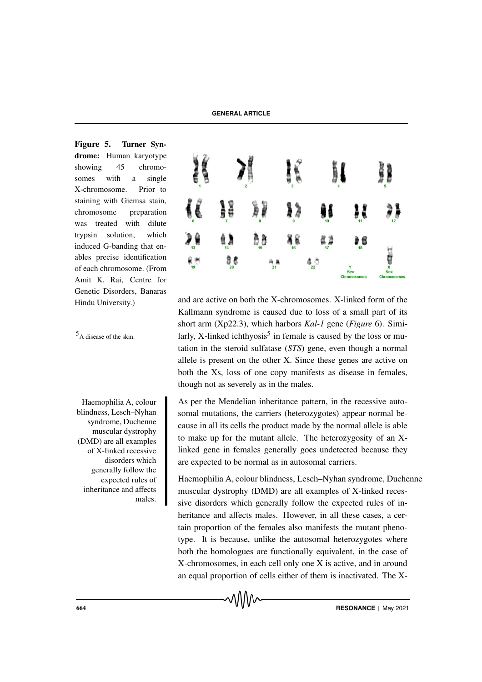Figure 5. Turner Syndrome: Human karyotype showing 45 chromosomes with a single X-chromosome. Prior to staining with Giemsa stain, chromosome preparation was treated with dilute trypsin solution, which induced G-banding that enables precise identification of each chromosome. (From Amit K. Rai, Centre for Genetic Disorders, Banaras

Haemophilia A, colour blindness, Lesch–Nyhan syndrome, Duchenne muscular dystrophy (DMD) are all examples of X-linked recessive disorders which generally follow the expected rules of inheritance and affects males.



Hindu University.) and are active on both the X-chromosomes. X-linked form of the Kallmann syndrome is caused due to loss of a small part of its short arm (Xp22.3), which harbors *Kal-1* gene (*Figure* 6). Simi- $<sup>5</sup>$ A disease of the skin. larly, X-linked ichthyosis<sup>5</sup> in female is caused by the loss or mu-</sup> tation in the steroid sulfatase (*STS*) gene, even though a normal allele is present on the other X. Since these genes are active on both the Xs, loss of one copy manifests as disease in females, though not as severely as in the males.

> As per the Mendelian inheritance pattern, in the recessive autosomal mutations, the carriers (heterozygotes) appear normal because in all its cells the product made by the normal allele is able to make up for the mutant allele. The heterozygosity of an Xlinked gene in females generally goes undetected because they are expected to be normal as in autosomal carriers.

Haemophilia A, colour blindness, Lesch–Nyhan syndrome, Duchenne muscular dystrophy (DMD) are all examples of X-linked recessive disorders which generally follow the expected rules of inheritance and affects males. However, in all these cases, a certain proportion of the females also manifests the mutant phenotype. It is because, unlike the autosomal heterozygotes where both the homologues are functionally equivalent, in the case of X-chromosomes, in each cell only one X is active, and in around an equal proportion of cells either of them is inactivated. The X-

MMM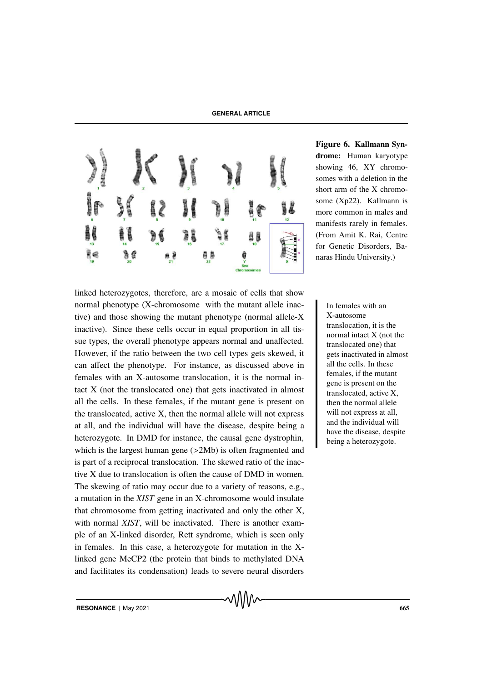

Figure 6. Kallmann Syndrome: Human karyotype showing 46, XY chromosomes with a deletion in the short arm of the X chromosome (Xp22). Kallmann is more common in males and manifests rarely in females. (From Amit K. Rai, Centre for Genetic Disorders, Banaras Hindu University.)

linked heterozygotes, therefore, are a mosaic of cells that show normal phenotype (X-chromosome with the mutant allele inac-<br>In females with an tive) and those showing the mutant phenotype (normal allele-X inactive). Since these cells occur in equal proportion in all tissue types, the overall phenotype appears normal and unaffected. However, if the ratio between the two cell types gets skewed, it can affect the phenotype. For instance, as discussed above in females with an X-autosome translocation, it is the normal intact X (not the translocated one) that gets inactivated in almost all the cells. In these females, if the mutant gene is present on the translocated, active X, then the normal allele will not express at all, and the individual will have the disease, despite being a heterozygote. In DMD for instance, the causal gene dystrophin, which is the largest human gene ( $>2Mb$ ) is often fragmented and is part of a reciprocal translocation. The skewed ratio of the inactive X due to translocation is often the cause of DMD in women. The skewing of ratio may occur due to a variety of reasons, e.g., a mutation in the *XIST* gene in an X-chromosome would insulate that chromosome from getting inactivated and only the other X, with normal *XIST*, will be inactivated. There is another example of an X-linked disorder, Rett syndrome, which is seen only in females. In this case, a heterozygote for mutation in the Xlinked gene MeCP2 (the protein that binds to methylated DNA and facilitates its condensation) leads to severe neural disorders

X-autosome translocation, it is the normal intact X (not the translocated one) that gets inactivated in almost all the cells. In these females, if the mutant gene is present on the translocated, active X, then the normal allele will not express at all, and the individual will have the disease, despite being a heterozygote.

**RESONANCE** | May 2021 **665**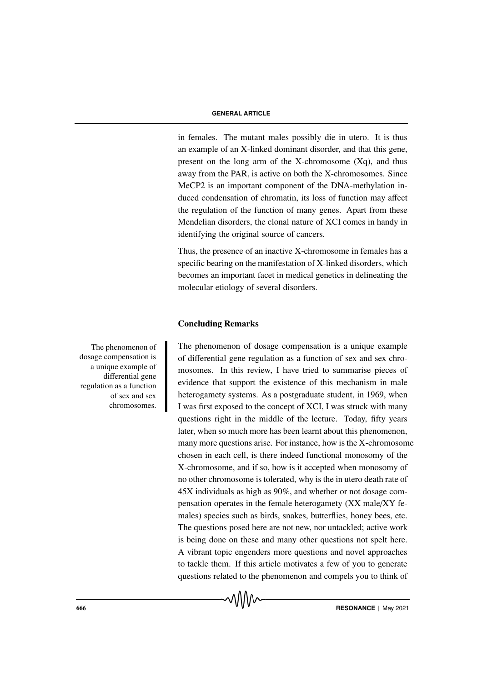in females. The mutant males possibly die in utero. It is thus an example of an X-linked dominant disorder, and that this gene, present on the long arm of the X-chromosome (Xq), and thus away from the PAR, is active on both the X-chromosomes. Since MeCP2 is an important component of the DNA-methylation induced condensation of chromatin, its loss of function may affect the regulation of the function of many genes. Apart from these Mendelian disorders, the clonal nature of XCI comes in handy in identifying the original source of cancers.

Thus, the presence of an inactive X-chromosome in females has a specific bearing on the manifestation of X-linked disorders, which becomes an important facet in medical genetics in delineating the molecular etiology of several disorders.

# Concluding Remarks

The phenomenon of dosage compensation is a unique example of differential gene regulation as a function of sex and sex chromosomes. In this review, I have tried to summarise pieces of evidence that support the existence of this mechanism in male heterogamety systems. As a postgraduate student, in 1969, when I was first exposed to the concept of XCI, I was struck with many questions right in the middle of the lecture. Today, fifty years later, when so much more has been learnt about this phenomenon, many more questions arise. For instance, how is the X-chromosome chosen in each cell, is there indeed functional monosomy of the X-chromosome, and if so, how is it accepted when monosomy of no other chromosome is tolerated, why is the in utero death rate of 45X individuals as high as 90%, and whether or not dosage compensation operates in the female heterogamety (XX male/XY females) species such as birds, snakes, butterflies, honey bees, etc. The questions posed here are not new, nor untackled; active work is being done on these and many other questions not spelt here. A vibrant topic engenders more questions and novel approaches to tackle them. If this article motivates a few of you to generate questions related to the phenomenon and compels you to think of

The phenomenon of dosage compensation is a unique example of differential gene regulation as a function of sex and sex chromosomes.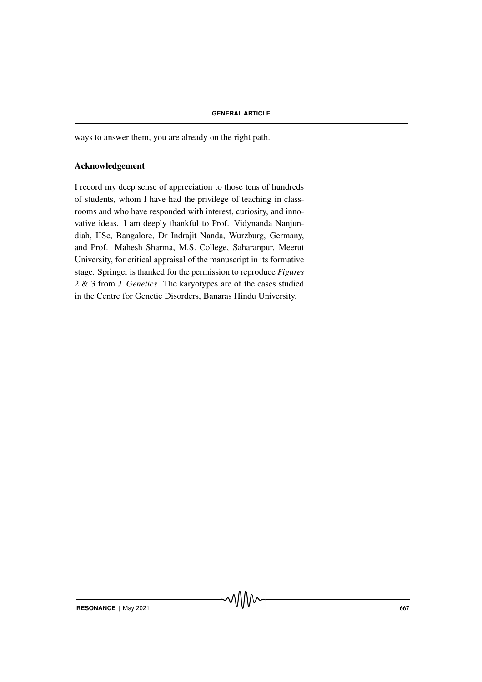ways to answer them, you are already on the right path.

# Acknowledgement

I record my deep sense of appreciation to those tens of hundreds of students, whom I have had the privilege of teaching in classrooms and who have responded with interest, curiosity, and innovative ideas. I am deeply thankful to Prof. Vidynanda Nanjundiah, IISc, Bangalore, Dr Indrajit Nanda, Wurzburg, Germany, and Prof. Mahesh Sharma, M.S. College, Saharanpur, Meerut University, for critical appraisal of the manuscript in its formative stage. Springer is thanked for the permission to reproduce *Figures* 2 & 3 from *J. Genetics*. The karyotypes are of the cases studied in the Centre for Genetic Disorders, Banaras Hindu University.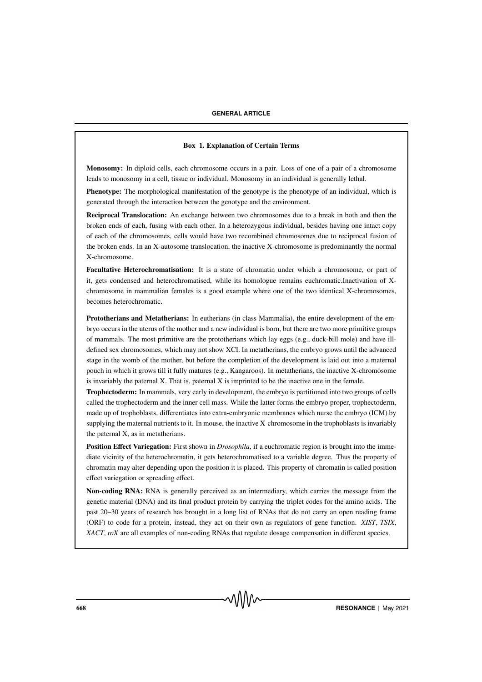#### Box 1. Explanation of Certain Terms

Monosomy: In diploid cells, each chromosome occurs in a pair. Loss of one of a pair of a chromosome leads to monosomy in a cell, tissue or individual. Monosomy in an individual is generally lethal.

Phenotype: The morphological manifestation of the genotype is the phenotype of an individual, which is generated through the interaction between the genotype and the environment.

Reciprocal Translocation: An exchange between two chromosomes due to a break in both and then the broken ends of each, fusing with each other. In a heterozygous individual, besides having one intact copy of each of the chromosomes, cells would have two recombined chromosomes due to reciprocal fusion of the broken ends. In an X-autosome translocation, the inactive X-chromosome is predominantly the normal X-chromosome.

Facultative Heterochromatisation: It is a state of chromatin under which a chromosome, or part of it, gets condensed and heterochromatised, while its homologue remains euchromatic.Inactivation of Xchromosome in mammalian females is a good example where one of the two identical X-chromosomes, becomes heterochromatic.

Prototherians and Metatherians: In eutherians (in class Mammalia), the entire development of the embryo occurs in the uterus of the mother and a new individual is born, but there are two more primitive groups of mammals. The most primitive are the prototherians which lay eggs (e.g., duck-bill mole) and have illdefined sex chromosomes, which may not show XCI. In metatherians, the embryo grows until the advanced stage in the womb of the mother, but before the completion of the development is laid out into a maternal pouch in which it grows till it fully matures (e.g., Kangaroos). In metatherians, the inactive X-chromosome is invariably the paternal X. That is, paternal X is imprinted to be the inactive one in the female.

Trophectoderm: In mammals, very early in development, the embryo is partitioned into two groups of cells called the trophectoderm and the inner cell mass. While the latter forms the embryo proper, trophectoderm, made up of trophoblasts, differentiates into extra-embryonic membranes which nurse the embryo (ICM) by supplying the maternal nutrients to it. In mouse, the inactive X-chromosome in the trophoblasts is invariably the paternal X, as in metatherians.

Position Effect Variegation: First shown in *Drosophila*, if a euchromatic region is brought into the immediate vicinity of the heterochromatin, it gets heterochromatised to a variable degree. Thus the property of chromatin may alter depending upon the position it is placed. This property of chromatin is called position effect variegation or spreading effect.

Non-coding RNA: RNA is generally perceived as an intermediary, which carries the message from the genetic material (DNA) and its final product protein by carrying the triplet codes for the amino acids. The past 20–30 years of research has brought in a long list of RNAs that do not carry an open reading frame (ORF) to code for a protein, instead, they act on their own as regulators of gene function. *XIST*, *TSIX*, *XACT*, *roX* are all examples of non-coding RNAs that regulate dosage compensation in different species.

**EXECUTE 15 AND SECURE 2021 RESONANCE** | May 2021